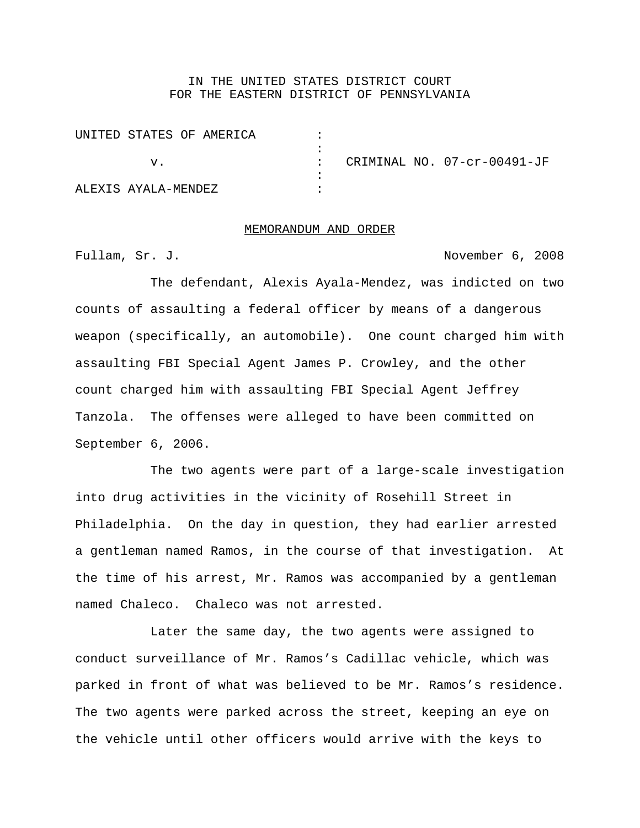## IN THE UNITED STATES DISTRICT COURT FOR THE EASTERN DISTRICT OF PENNSYLVANIA

| UNITED STATES OF AMERICA |  |  |  |                             |
|--------------------------|--|--|--|-----------------------------|
|                          |  |  |  |                             |
| V.                       |  |  |  | CRIMINAL NO. 07-cr-00491-JF |
|                          |  |  |  |                             |
| ALEXIS AYALA-MENDEZ      |  |  |  |                             |

#### MEMORANDUM AND ORDER

Fullam, Sr. J. November 6, 2008

The defendant, Alexis Ayala-Mendez, was indicted on two counts of assaulting a federal officer by means of a dangerous weapon (specifically, an automobile). One count charged him with assaulting FBI Special Agent James P. Crowley, and the other count charged him with assaulting FBI Special Agent Jeffrey Tanzola. The offenses were alleged to have been committed on September 6, 2006.

The two agents were part of a large-scale investigation into drug activities in the vicinity of Rosehill Street in Philadelphia. On the day in question, they had earlier arrested a gentleman named Ramos, in the course of that investigation. At the time of his arrest, Mr. Ramos was accompanied by a gentleman named Chaleco. Chaleco was not arrested.

Later the same day, the two agents were assigned to conduct surveillance of Mr. Ramos's Cadillac vehicle, which was parked in front of what was believed to be Mr. Ramos's residence. The two agents were parked across the street, keeping an eye on the vehicle until other officers would arrive with the keys to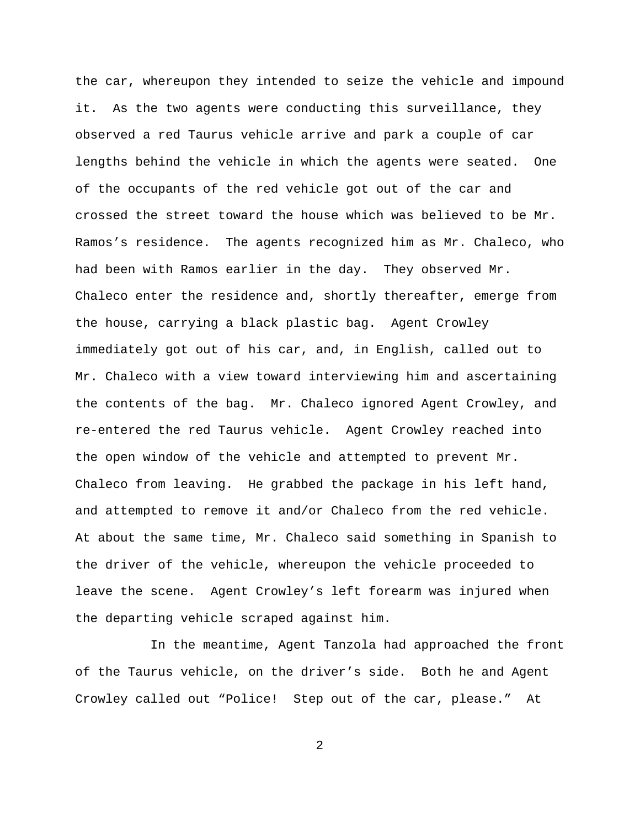the car, whereupon they intended to seize the vehicle and impound it. As the two agents were conducting this surveillance, they observed a red Taurus vehicle arrive and park a couple of car lengths behind the vehicle in which the agents were seated. One of the occupants of the red vehicle got out of the car and crossed the street toward the house which was believed to be Mr. Ramos's residence. The agents recognized him as Mr. Chaleco, who had been with Ramos earlier in the day. They observed Mr. Chaleco enter the residence and, shortly thereafter, emerge from the house, carrying a black plastic bag. Agent Crowley immediately got out of his car, and, in English, called out to Mr. Chaleco with a view toward interviewing him and ascertaining the contents of the bag. Mr. Chaleco ignored Agent Crowley, and re-entered the red Taurus vehicle. Agent Crowley reached into the open window of the vehicle and attempted to prevent Mr. Chaleco from leaving. He grabbed the package in his left hand, and attempted to remove it and/or Chaleco from the red vehicle. At about the same time, Mr. Chaleco said something in Spanish to the driver of the vehicle, whereupon the vehicle proceeded to leave the scene. Agent Crowley's left forearm was injured when the departing vehicle scraped against him.

In the meantime, Agent Tanzola had approached the front of the Taurus vehicle, on the driver's side. Both he and Agent Crowley called out "Police! Step out of the car, please." At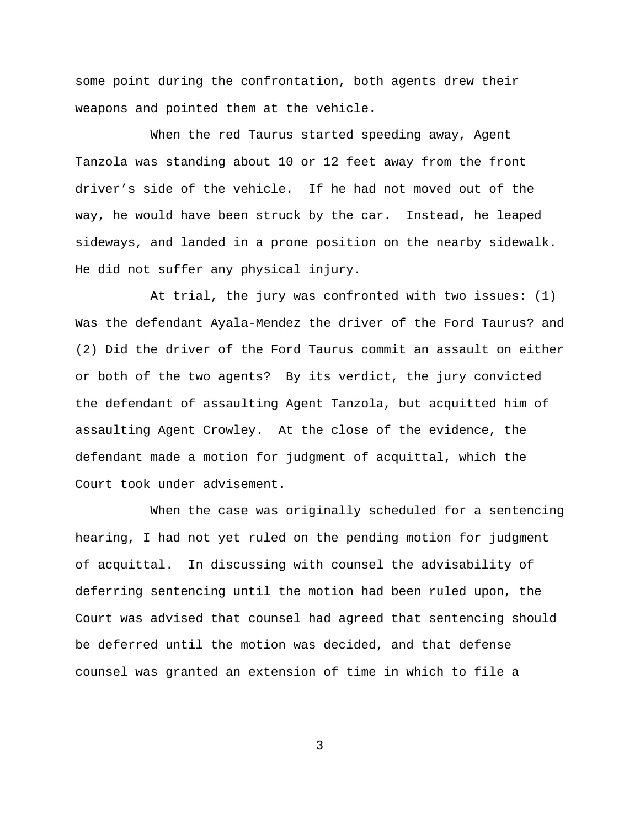some point during the confrontation, both agents drew their weapons and pointed them at the vehicle.

When the red Taurus started speeding away, Agent Tanzola was standing about 10 or 12 feet away from the front driver's side of the vehicle. If he had not moved out of the way, he would have been struck by the car. Instead, he leaped sideways, and landed in a prone position on the nearby sidewalk. He did not suffer any physical injury.

At trial, the jury was confronted with two issues: (1) Was the defendant Ayala-Mendez the driver of the Ford Taurus? and (2) Did the driver of the Ford Taurus commit an assault on either or both of the two agents? By its verdict, the jury convicted the defendant of assaulting Agent Tanzola, but acquitted him of assaulting Agent Crowley. At the close of the evidence, the defendant made a motion for judgment of acquittal, which the Court took under advisement.

When the case was originally scheduled for a sentencing hearing, I had not yet ruled on the pending motion for judgment of acquittal. In discussing with counsel the advisability of deferring sentencing until the motion had been ruled upon, the Court was advised that counsel had agreed that sentencing should be deferred until the motion was decided, and that defense counsel was granted an extension of time in which to file a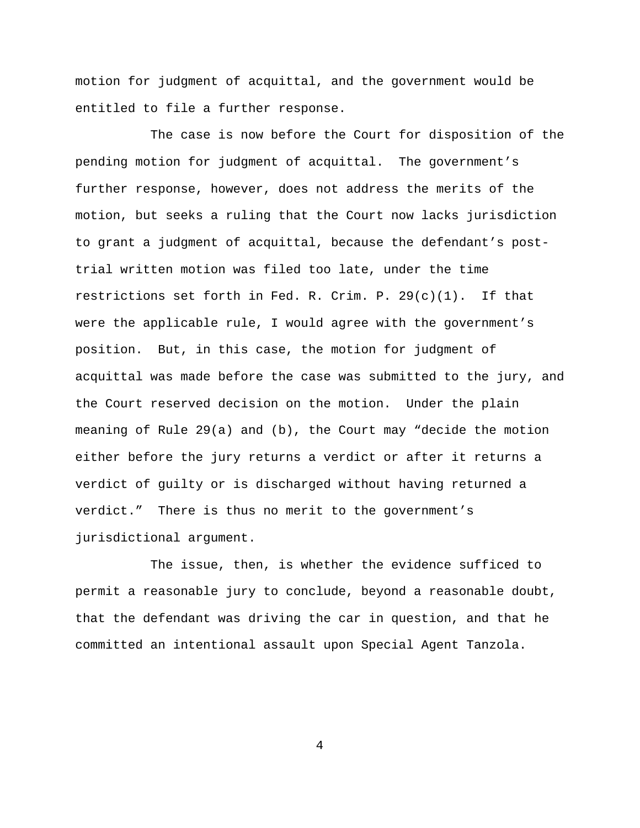motion for judgment of acquittal, and the government would be entitled to file a further response.

The case is now before the Court for disposition of the pending motion for judgment of acquittal. The government's further response, however, does not address the merits of the motion, but seeks a ruling that the Court now lacks jurisdiction to grant a judgment of acquittal, because the defendant's posttrial written motion was filed too late, under the time restrictions set forth in Fed. R. Crim. P.  $29(c)(1)$ . If that were the applicable rule, I would agree with the government's position. But, in this case, the motion for judgment of acquittal was made before the case was submitted to the jury, and the Court reserved decision on the motion. Under the plain meaning of Rule 29(a) and (b), the Court may "decide the motion either before the jury returns a verdict or after it returns a verdict of guilty or is discharged without having returned a verdict." There is thus no merit to the government's jurisdictional argument.

The issue, then, is whether the evidence sufficed to permit a reasonable jury to conclude, beyond a reasonable doubt, that the defendant was driving the car in question, and that he committed an intentional assault upon Special Agent Tanzola.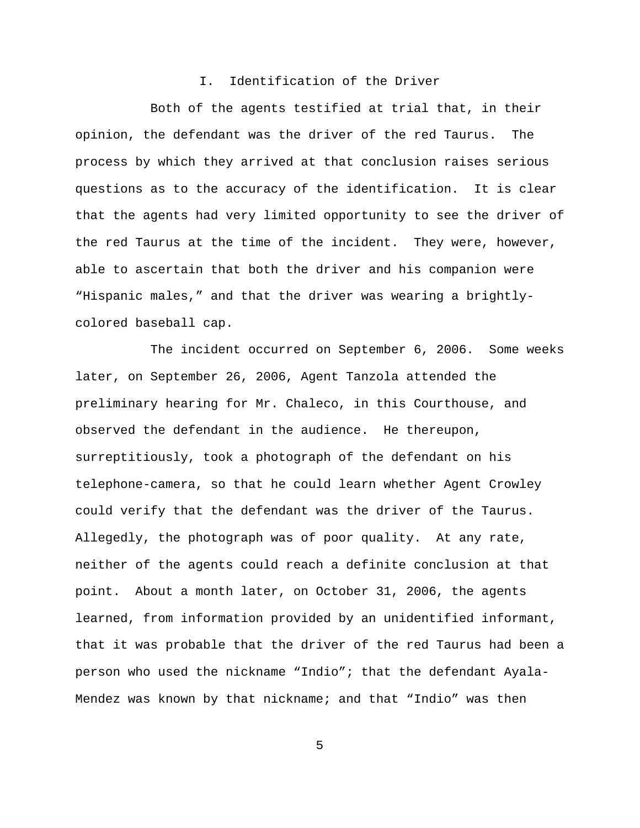## I. Identification of the Driver

Both of the agents testified at trial that, in their opinion, the defendant was the driver of the red Taurus. The process by which they arrived at that conclusion raises serious questions as to the accuracy of the identification. It is clear that the agents had very limited opportunity to see the driver of the red Taurus at the time of the incident. They were, however, able to ascertain that both the driver and his companion were "Hispanic males," and that the driver was wearing a brightlycolored baseball cap.

The incident occurred on September 6, 2006. Some weeks later, on September 26, 2006, Agent Tanzola attended the preliminary hearing for Mr. Chaleco, in this Courthouse, and observed the defendant in the audience. He thereupon, surreptitiously, took a photograph of the defendant on his telephone-camera, so that he could learn whether Agent Crowley could verify that the defendant was the driver of the Taurus. Allegedly, the photograph was of poor quality. At any rate, neither of the agents could reach a definite conclusion at that point. About a month later, on October 31, 2006, the agents learned, from information provided by an unidentified informant, that it was probable that the driver of the red Taurus had been a person who used the nickname "Indio"; that the defendant Ayala-Mendez was known by that nickname; and that "Indio" was then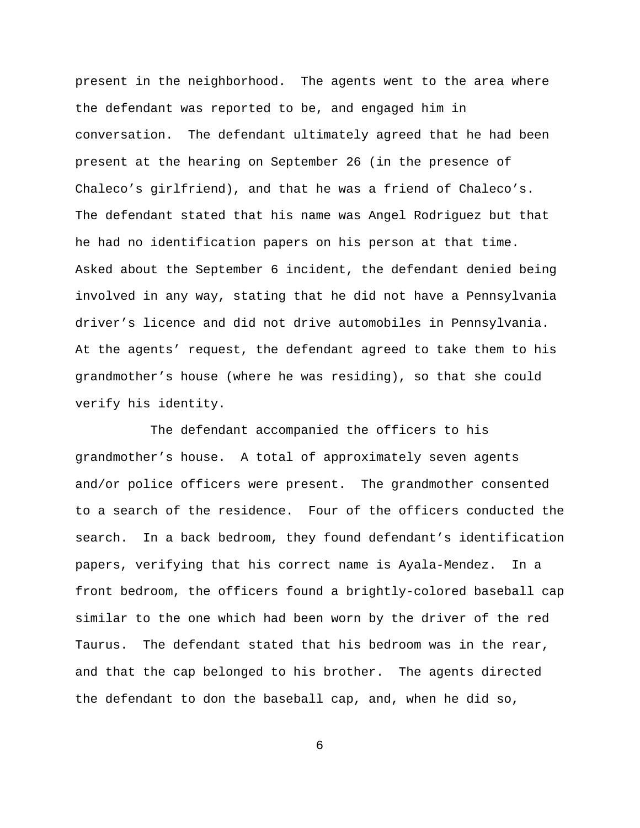present in the neighborhood. The agents went to the area where the defendant was reported to be, and engaged him in conversation. The defendant ultimately agreed that he had been present at the hearing on September 26 (in the presence of Chaleco's girlfriend), and that he was a friend of Chaleco's. The defendant stated that his name was Angel Rodriguez but that he had no identification papers on his person at that time. Asked about the September 6 incident, the defendant denied being involved in any way, stating that he did not have a Pennsylvania driver's licence and did not drive automobiles in Pennsylvania. At the agents' request, the defendant agreed to take them to his grandmother's house (where he was residing), so that she could verify his identity.

The defendant accompanied the officers to his grandmother's house. A total of approximately seven agents and/or police officers were present. The grandmother consented to a search of the residence. Four of the officers conducted the search. In a back bedroom, they found defendant's identification papers, verifying that his correct name is Ayala-Mendez. In a front bedroom, the officers found a brightly-colored baseball cap similar to the one which had been worn by the driver of the red Taurus. The defendant stated that his bedroom was in the rear, and that the cap belonged to his brother. The agents directed the defendant to don the baseball cap, and, when he did so,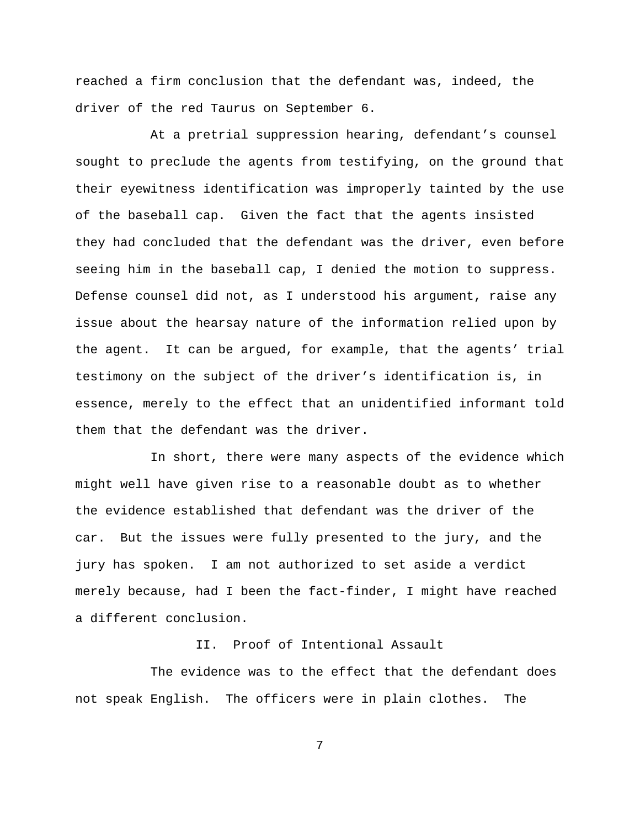reached a firm conclusion that the defendant was, indeed, the driver of the red Taurus on September 6.

At a pretrial suppression hearing, defendant's counsel sought to preclude the agents from testifying, on the ground that their eyewitness identification was improperly tainted by the use of the baseball cap. Given the fact that the agents insisted they had concluded that the defendant was the driver, even before seeing him in the baseball cap, I denied the motion to suppress. Defense counsel did not, as I understood his argument, raise any issue about the hearsay nature of the information relied upon by the agent. It can be argued, for example, that the agents' trial testimony on the subject of the driver's identification is, in essence, merely to the effect that an unidentified informant told them that the defendant was the driver.

In short, there were many aspects of the evidence which might well have given rise to a reasonable doubt as to whether the evidence established that defendant was the driver of the car. But the issues were fully presented to the jury, and the jury has spoken. I am not authorized to set aside a verdict merely because, had I been the fact-finder, I might have reached a different conclusion.

II. Proof of Intentional Assault

The evidence was to the effect that the defendant does not speak English. The officers were in plain clothes. The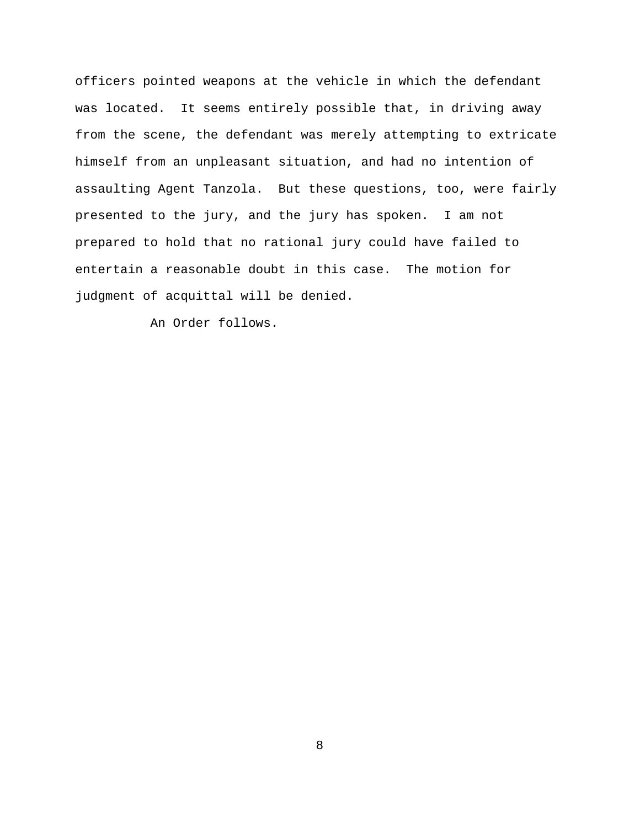officers pointed weapons at the vehicle in which the defendant was located. It seems entirely possible that, in driving away from the scene, the defendant was merely attempting to extricate himself from an unpleasant situation, and had no intention of assaulting Agent Tanzola. But these questions, too, were fairly presented to the jury, and the jury has spoken. I am not prepared to hold that no rational jury could have failed to entertain a reasonable doubt in this case. The motion for judgment of acquittal will be denied.

An Order follows.